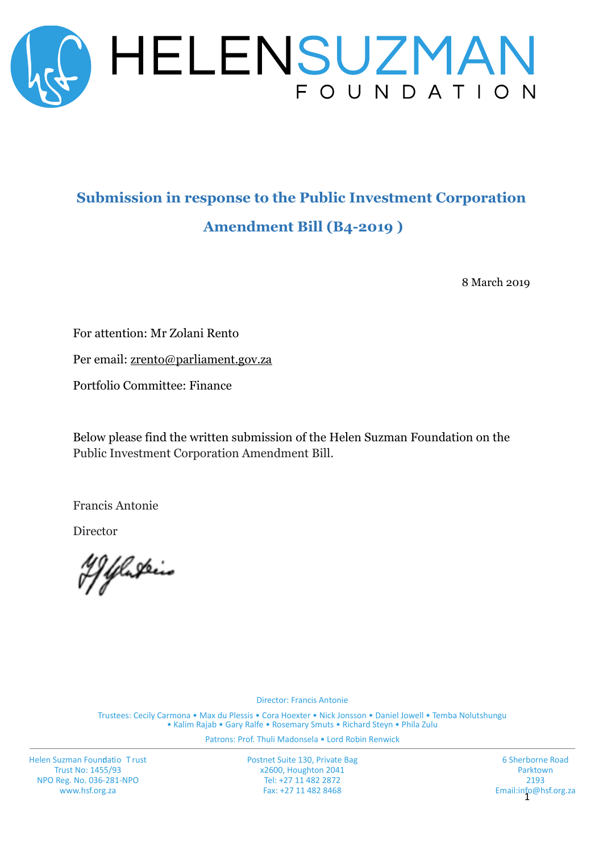

# **Submission in response to the Public Investment Corporation Amendment Bill (B4-2019 )**

8 March 2019

For attention: Mr Zolani Rento

Per email: [zrento@parliament.gov.za](mailto:zrento@parliament.gov.za)

Portfolio Committee: Finance

Below please find the written submission of the Helen Suzman Foundation on the Public Investment Corporation Amendment Bill.

Francis Antonie

Director

'Y Yluskein

Director: Francis Antonie

Trustees: Cecily Carmona • Max du Plessis • Cora Hoexter • Nick Jonsson • Daniel Jowell • Temba Nolutshungu • Kalim Rajab • Gary Ralfe • Rosemary Smuts • Richard Steyn • Phila Zulu

Patrons: Prof. Thuli Madonsela • Lord Robin Renwick

Helen Suzman Foundatio Trust Trust No: 1455/93 NPO Reg. No. 036-281-NPO www.hsf.org.za

Postnet Suite 130, Private Bag x2600, Houghton 2041 Tel: +27 11 482 2872 Fax: +27 11 482 8468

Email:info@hsf.org.za<br>1 6 Sherborne Road Parktown 2193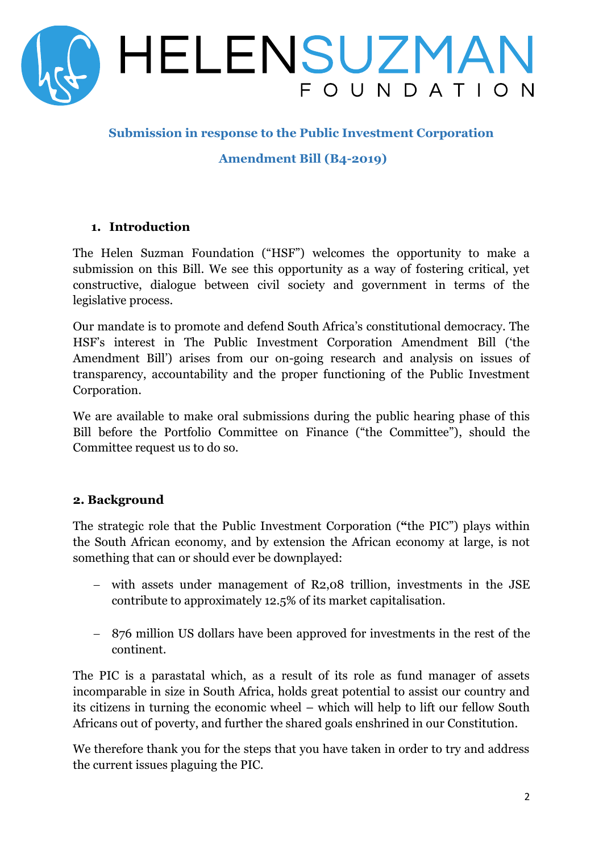

## **Submission in response to the Public Investment Corporation**

**Amendment Bill (B4-2019)**

#### **1. Introduction**

The Helen Suzman Foundation ("HSF") welcomes the opportunity to make a submission on this Bill. We see this opportunity as a way of fostering critical, yet constructive, dialogue between civil society and government in terms of the legislative process.

Our mandate is to promote and defend South Africa's constitutional democracy. The HSF's interest in The Public Investment Corporation Amendment Bill ('the Amendment Bill') arises from our on-going research and analysis on issues of transparency, accountability and the proper functioning of the Public Investment Corporation.

We are available to make oral submissions during the public hearing phase of this Bill before the Portfolio Committee on Finance ("the Committee"), should the Committee request us to do so.

### **2. Background**

The strategic role that the Public Investment Corporation (**"**the PIC") plays within the South African economy, and by extension the African economy at large, is not something that can or should ever be downplayed:

- − with assets under management of R2,08 trillion, investments in the JSE contribute to approximately 12.5% of its market capitalisation.
- − 876 million US dollars have been approved for investments in the rest of the continent.

The PIC is a parastatal which, as a result of its role as fund manager of assets incomparable in size in South Africa, holds great potential to assist our country and its citizens in turning the economic wheel – which will help to lift our fellow South Africans out of poverty, and further the shared goals enshrined in our Constitution.

We therefore thank you for the steps that you have taken in order to try and address the current issues plaguing the PIC.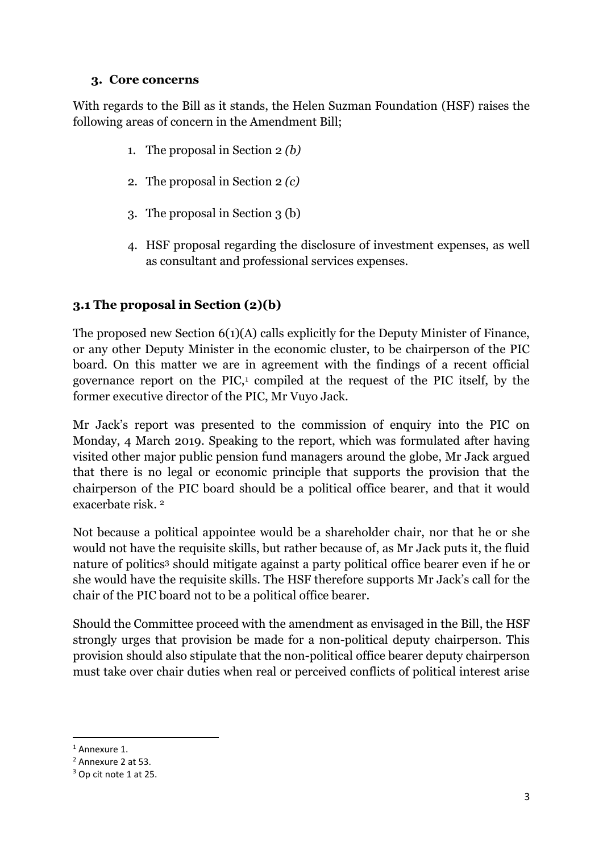### **3. Core concerns**

With regards to the Bill as it stands, the Helen Suzman Foundation (HSF) raises the following areas of concern in the Amendment Bill;

- 1. The proposal in Section 2 *(b)*
- 2. The proposal in Section 2 *(c)*
- 3. The proposal in Section 3 (b)
- 4. HSF proposal regarding the disclosure of investment expenses, as well as consultant and professional services expenses.

# **3.1 The proposal in Section (2)(b)**

The proposed new Section 6(1)(A) calls explicitly for the Deputy Minister of Finance, or any other Deputy Minister in the economic cluster, to be chairperson of the PIC board. On this matter we are in agreement with the findings of a recent official governance report on the PIC, $\frac{1}{2}$  compiled at the request of the PIC itself, by the former executive director of the PIC, Mr Vuyo Jack.

Mr Jack's report was presented to the commission of enquiry into the PIC on Monday, 4 March 2019. Speaking to the report, which was formulated after having visited other major public pension fund managers around the globe, Mr Jack argued that there is no legal or economic principle that supports the provision that the chairperson of the PIC board should be a political office bearer, and that it would exacerbate risk. 2

Not because a political appointee would be a shareholder chair, nor that he or she would not have the requisite skills, but rather because of, as Mr Jack puts it, the fluid nature of politics<sup>3</sup> should mitigate against a party political office bearer even if he or she would have the requisite skills. The HSF therefore supports Mr Jack's call for the chair of the PIC board not to be a political office bearer.

Should the Committee proceed with the amendment as envisaged in the Bill, the HSF strongly urges that provision be made for a non-political deputy chairperson. This provision should also stipulate that the non-political office bearer deputy chairperson must take over chair duties when real or perceived conflicts of political interest arise

**<sup>.</sup>** <sup>1</sup> Annexure 1.

<sup>2</sup> Annexure 2 at 53.

<sup>3</sup> Op cit note 1 at 25.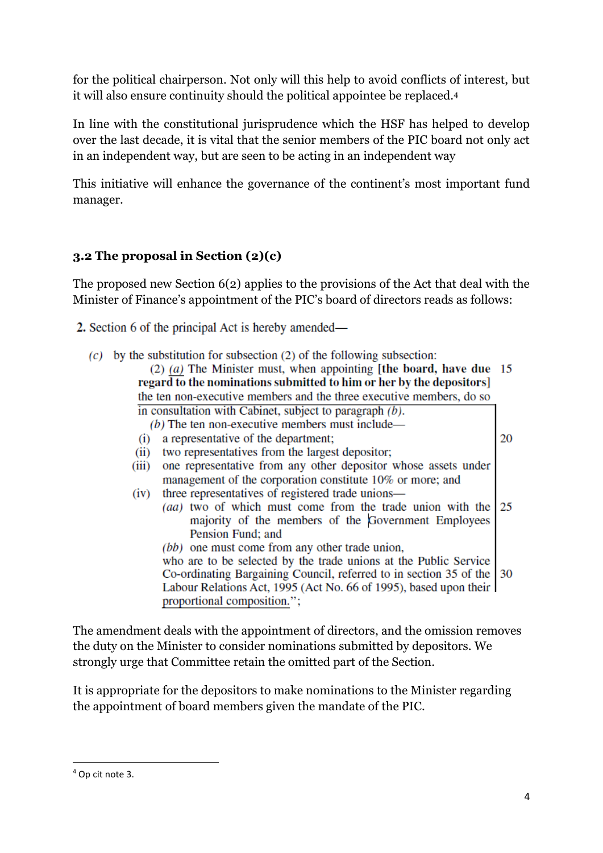for the political chairperson. Not only will this help to avoid conflicts of interest, but it will also ensure continuity should the political appointee be replaced.<sup>4</sup>

In line with the constitutional jurisprudence which the HSF has helped to develop over the last decade, it is vital that the senior members of the PIC board not only act in an independent way, but are seen to be acting in an independent way

This initiative will enhance the governance of the continent's most important fund manager.

# **3.2 The proposal in Section (2)(c)**

The proposed new Section 6(2) applies to the provisions of the Act that deal with the Minister of Finance's appointment of the PIC's board of directors reads as follows:

- 2. Section 6 of the principal Act is hereby amended—
	- $(c)$  by the substitution for subsection (2) of the following subsection:

| $(2)$ (a) The Minister must, when appointing [the board, have due 15<br>regard to the nominations submitted to him or her by the depositors] |    |
|----------------------------------------------------------------------------------------------------------------------------------------------|----|
| the ten non-executive members and the three executive members, do so                                                                         |    |
| in consultation with Cabinet, subject to paragraph $(b)$ .                                                                                   |    |
| $(b)$ The ten non-executive members must include—                                                                                            |    |
| a representative of the department;<br>(i)                                                                                                   | 20 |
| two representatives from the largest depositor;<br>(ii)                                                                                      |    |
| one representative from any other depositor whose assets under<br>(iii)                                                                      |    |
| management of the corporation constitute 10% or more; and                                                                                    |    |
| three representatives of registered trade unions—<br>(iv)                                                                                    |    |
| ( <i>aa</i> ) two of which must come from the trade union with the $\vert 25 \rangle$                                                        |    |
| majority of the members of the Government Employees                                                                                          |    |
| Pension Fund; and                                                                                                                            |    |
| (bb) one must come from any other trade union,                                                                                               |    |
| who are to be selected by the trade unions at the Public Service                                                                             |    |
| Co-ordinating Bargaining Council, referred to in section 35 of the 30                                                                        |    |
| Labour Relations Act, 1995 (Act No. 66 of 1995), based upon their                                                                            |    |
| proportional composition.";                                                                                                                  |    |
|                                                                                                                                              |    |

The amendment deals with the appointment of directors, and the omission removes the duty on the Minister to consider nominations submitted by depositors. We strongly urge that Committee retain the omitted part of the Section.

It is appropriate for the depositors to make nominations to the Minister regarding the appointment of board members given the mandate of the PIC.

**.** 

<sup>4</sup> Op cit note 3.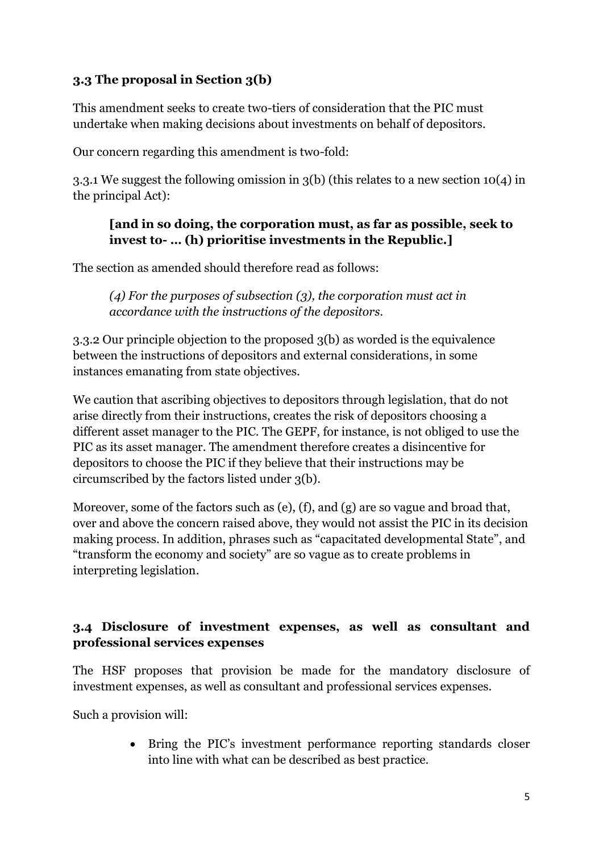# **3.3 The proposal in Section 3(b)**

This amendment seeks to create two-tiers of consideration that the PIC must undertake when making decisions about investments on behalf of depositors.

Our concern regarding this amendment is two-fold:

3.3.1 We suggest the following omission in 3(b) (this relates to a new section 10(4) in the principal Act):

## **[and in so doing, the corporation must, as far as possible, seek to invest to- … (h) prioritise investments in the Republic.]**

The section as amended should therefore read as follows:

*(4) For the purposes of subsection (3), the corporation must act in accordance with the instructions of the depositors.*

3.3.2 Our principle objection to the proposed 3(b) as worded is the equivalence between the instructions of depositors and external considerations, in some instances emanating from state objectives.

We caution that ascribing objectives to depositors through legislation, that do not arise directly from their instructions, creates the risk of depositors choosing a different asset manager to the PIC. The GEPF, for instance, is not obliged to use the PIC as its asset manager. The amendment therefore creates a disincentive for depositors to choose the PIC if they believe that their instructions may be circumscribed by the factors listed under 3(b).

Moreover, some of the factors such as (e), (f), and (g) are so vague and broad that, over and above the concern raised above, they would not assist the PIC in its decision making process. In addition, phrases such as "capacitated developmental State", and "transform the economy and society" are so vague as to create problems in interpreting legislation.

# **3.4 Disclosure of investment expenses, as well as consultant and professional services expenses**

The HSF proposes that provision be made for the mandatory disclosure of investment expenses, as well as consultant and professional services expenses.

Such a provision will:

• Bring the PIC's investment performance reporting standards closer into line with what can be described as best practice.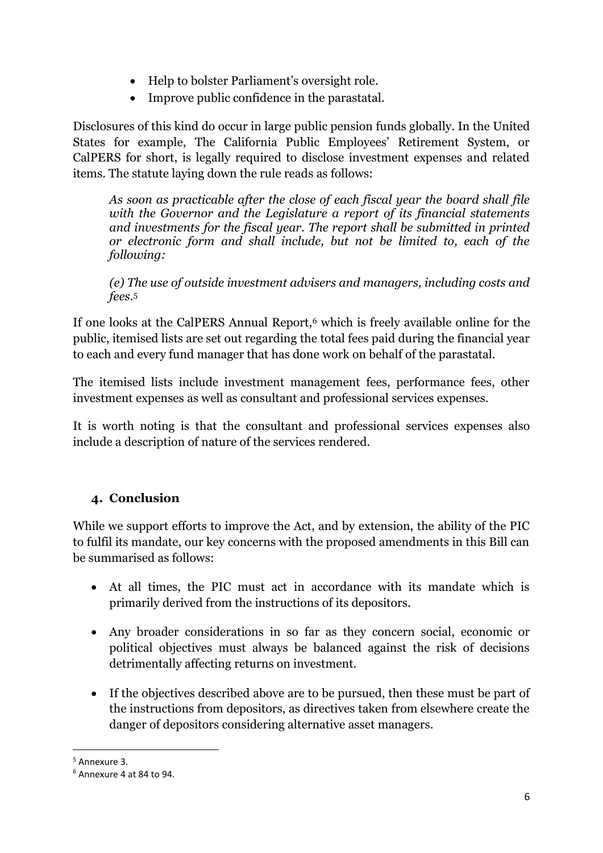- Help to bolster Parliament's oversight role.
- Improve public confidence in the parastatal.

Disclosures of this kind do occur in large public pension funds globally. In the United States for example, The California Public Employees' Retirement System, or CalPERS for short, is legally required to disclose investment expenses and related items. The statute laying down the rule reads as follows:

*As soon as practicable after the close of each fiscal year the board shall file with the Governor and the Legislature a report of its financial statements and investments for the fiscal year. The report shall be submitted in printed or electronic form and shall include, but not be limited to, each of the following:*

*(e) The use of outside investment advisers and managers, including costs and fees*. 5

If one looks at the CalPERS Annual Report,<sup>6</sup> which is freely available online for the public, itemised lists are set out regarding the total fees paid during the financial year to each and every fund manager that has done work on behalf of the parastatal.

The itemised lists include investment management fees, performance fees, other investment expenses as well as consultant and professional services expenses.

It is worth noting is that the consultant and professional services expenses also include a description of nature of the services rendered.

# **4. Conclusion**

While we support efforts to improve the Act, and by extension, the ability of the PIC to fulfil its mandate, our key concerns with the proposed amendments in this Bill can be summarised as follows:

- At all times, the PIC must act in accordance with its mandate which is primarily derived from the instructions of its depositors.
- Any broader considerations in so far as they concern social, economic or political objectives must always be balanced against the risk of decisions detrimentally affecting returns on investment.
- If the objectives described above are to be pursued, then these must be part of the instructions from depositors, as directives taken from elsewhere create the danger of depositors considering alternative asset managers.

1

<sup>5</sup> Annexure 3.

<sup>6</sup> Annexure 4 at 84 to 94.